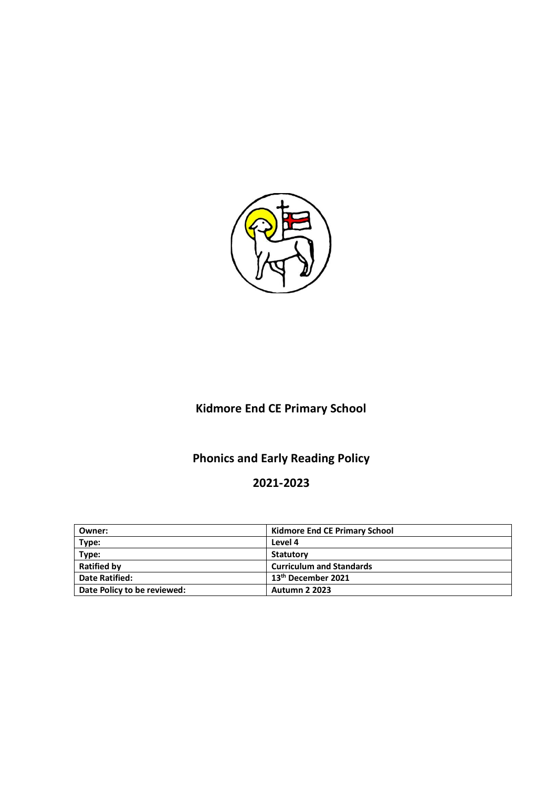

# **Kidmore End CE Primary School**

# **Phonics and Early Reading Policy**

# **2021-2023**

| Owner:                      | <b>Kidmore End CE Primary School</b> |
|-----------------------------|--------------------------------------|
| Type:                       | Level 4                              |
| Type:                       | Statutory                            |
| <b>Ratified by</b>          | <b>Curriculum and Standards</b>      |
| <b>Date Ratified:</b>       | 13 <sup>th</sup> December 2021       |
| Date Policy to be reviewed: | <b>Autumn 2 2023</b>                 |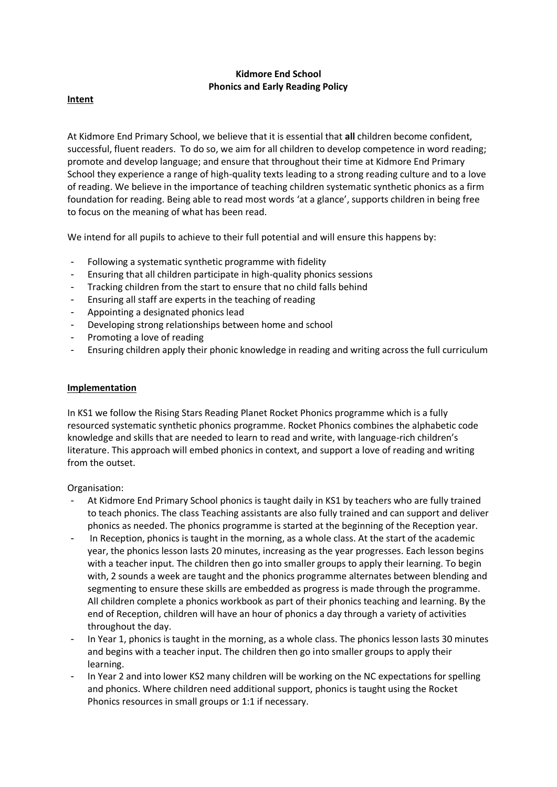# **Kidmore End School Phonics and Early Reading Policy**

## **Intent**

At Kidmore End Primary School, we believe that it is essential that **all** children become confident, successful, fluent readers. To do so, we aim for all children to develop competence in word reading; promote and develop language; and ensure that throughout their time at Kidmore End Primary School they experience a range of high-quality texts leading to a strong reading culture and to a love of reading. We believe in the importance of teaching children systematic synthetic phonics as a firm foundation for reading. Being able to read most words 'at a glance', supports children in being free to focus on the meaning of what has been read.

We intend for all pupils to achieve to their full potential and will ensure this happens by:

- Following a systematic synthetic programme with fidelity
- Ensuring that all children participate in high-quality phonics sessions
- Tracking children from the start to ensure that no child falls behind
- Ensuring all staff are experts in the teaching of reading
- Appointing a designated phonics lead
- Developing strong relationships between home and school
- Promoting a love of reading
- Ensuring children apply their phonic knowledge in reading and writing across the full curriculum

#### **Implementation**

In KS1 we follow the Rising Stars Reading Planet Rocket Phonics programme which is a fully resourced systematic synthetic phonics programme. Rocket Phonics combines the alphabetic code knowledge and skills that are needed to learn to read and write, with language-rich children's literature. This approach will embed phonics in context, and support a love of reading and writing from the outset.

Organisation:

- At Kidmore End Primary School phonics is taught daily in KS1 by teachers who are fully trained to teach phonics. The class Teaching assistants are also fully trained and can support and deliver phonics as needed. The phonics programme is started at the beginning of the Reception year.
- In Reception, phonics is taught in the morning, as a whole class. At the start of the academic year, the phonics lesson lasts 20 minutes, increasing as the year progresses. Each lesson begins with a teacher input. The children then go into smaller groups to apply their learning. To begin with, 2 sounds a week are taught and the phonics programme alternates between blending and segmenting to ensure these skills are embedded as progress is made through the programme. All children complete a phonics workbook as part of their phonics teaching and learning. By the end of Reception, children will have an hour of phonics a day through a variety of activities throughout the day.
- In Year 1, phonics is taught in the morning, as a whole class. The phonics lesson lasts 30 minutes and begins with a teacher input. The children then go into smaller groups to apply their learning.
- In Year 2 and into lower KS2 many children will be working on the NC expectations for spelling and phonics. Where children need additional support, phonics is taught using the Rocket Phonics resources in small groups or 1:1 if necessary.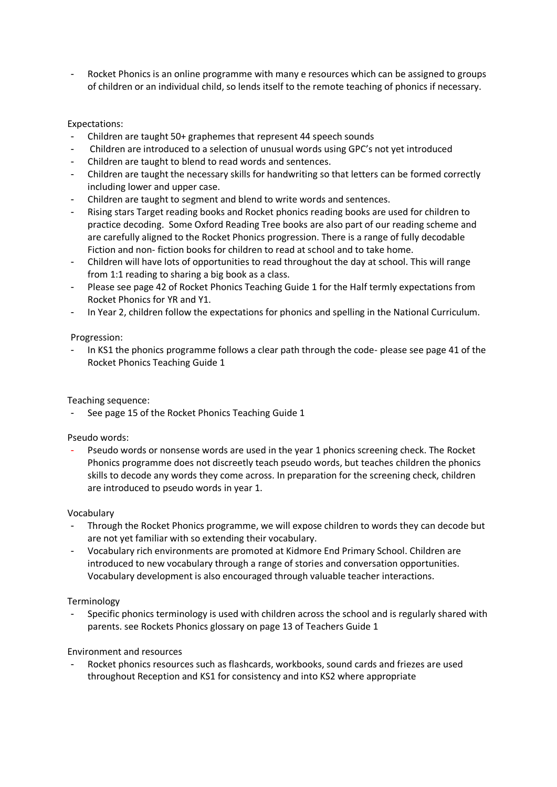- Rocket Phonics is an online programme with many e resources which can be assigned to groups of children or an individual child, so lends itself to the remote teaching of phonics if necessary.

# Expectations:

- Children are taught 50+ graphemes that represent 44 speech sounds
- Children are introduced to a selection of unusual words using GPC's not yet introduced
- Children are taught to blend to read words and sentences.
- Children are taught the necessary skills for handwriting so that letters can be formed correctly including lower and upper case.
- Children are taught to segment and blend to write words and sentences.
- Rising stars Target reading books and Rocket phonics reading books are used for children to practice decoding. Some Oxford Reading Tree books are also part of our reading scheme and are carefully aligned to the Rocket Phonics progression. There is a range of fully decodable Fiction and non- fiction books for children to read at school and to take home.
- Children will have lots of opportunities to read throughout the day at school. This will range from 1:1 reading to sharing a big book as a class.
- Please see page 42 of Rocket Phonics Teaching Guide 1 for the Half termly expectations from Rocket Phonics for YR and Y1.
- In Year 2, children follow the expectations for phonics and spelling in the National Curriculum.

#### Progression:

In KS1 the phonics programme follows a clear path through the code- please see page 41 of the Rocket Phonics Teaching Guide 1

#### Teaching sequence:

See page 15 of the Rocket Phonics Teaching Guide 1

#### Pseudo words:

Pseudo words or nonsense words are used in the year 1 phonics screening check. The Rocket Phonics programme does not discreetly teach pseudo words, but teaches children the phonics skills to decode any words they come across. In preparation for the screening check, children are introduced to pseudo words in year 1.

#### Vocabulary

- Through the Rocket Phonics programme, we will expose children to words they can decode but are not yet familiar with so extending their vocabulary.
- Vocabulary rich environments are promoted at Kidmore End Primary School. Children are introduced to new vocabulary through a range of stories and conversation opportunities. Vocabulary development is also encouraged through valuable teacher interactions.

#### Terminology

Specific phonics terminology is used with children across the school and is regularly shared with parents. see Rockets Phonics glossary on page 13 of Teachers Guide 1

#### Environment and resources

Rocket phonics resources such as flashcards, workbooks, sound cards and friezes are used throughout Reception and KS1 for consistency and into KS2 where appropriate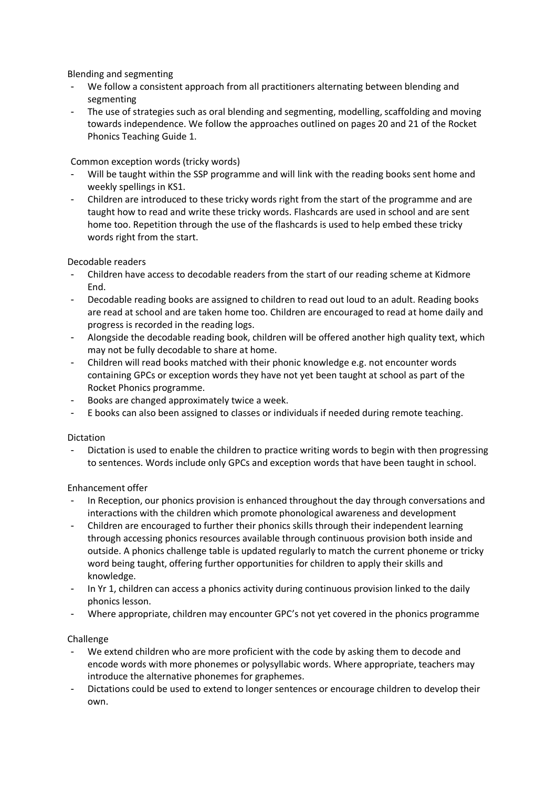Blending and segmenting

- We follow a consistent approach from all practitioners alternating between blending and segmenting
- The use of strategies such as oral blending and segmenting, modelling, scaffolding and moving towards independence. We follow the approaches outlined on pages 20 and 21 of the Rocket Phonics Teaching Guide 1.

Common exception words (tricky words)

- Will be taught within the SSP programme and will link with the reading books sent home and weekly spellings in KS1.
- Children are introduced to these tricky words right from the start of the programme and are taught how to read and write these tricky words. Flashcards are used in school and are sent home too. Repetition through the use of the flashcards is used to help embed these tricky words right from the start.

Decodable readers

- Children have access to decodable readers from the start of our reading scheme at Kidmore End.
- Decodable reading books are assigned to children to read out loud to an adult. Reading books are read at school and are taken home too. Children are encouraged to read at home daily and progress is recorded in the reading logs.
- Alongside the decodable reading book, children will be offered another high quality text, which may not be fully decodable to share at home.
- Children will read books matched with their phonic knowledge e.g. not encounter words containing GPCs or exception words they have not yet been taught at school as part of the Rocket Phonics programme.
- Books are changed approximately twice a week.
- E books can also been assigned to classes or individuals if needed during remote teaching.

#### Dictation

Dictation is used to enable the children to practice writing words to begin with then progressing to sentences. Words include only GPCs and exception words that have been taught in school.

Enhancement offer

- In Reception, our phonics provision is enhanced throughout the day through conversations and interactions with the children which promote phonological awareness and development
- Children are encouraged to further their phonics skills through their independent learning through accessing phonics resources available through continuous provision both inside and outside. A phonics challenge table is updated regularly to match the current phoneme or tricky word being taught, offering further opportunities for children to apply their skills and knowledge.
- In Yr 1, children can access a phonics activity during continuous provision linked to the daily phonics lesson.
- Where appropriate, children may encounter GPC's not yet covered in the phonics programme

#### Challenge

- We extend children who are more proficient with the code by asking them to decode and encode words with more phonemes or polysyllabic words. Where appropriate, teachers may introduce the alternative phonemes for graphemes.
- Dictations could be used to extend to longer sentences or encourage children to develop their own.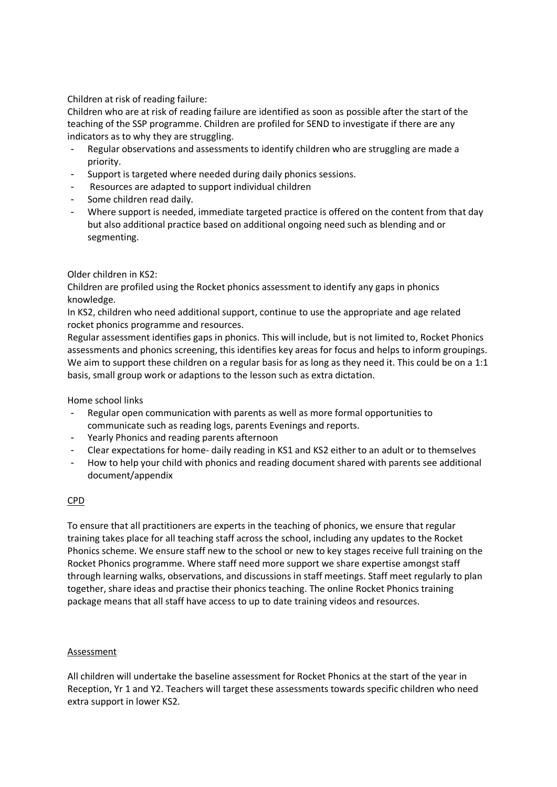Children at risk of reading failure:

Children who are at risk of reading failure are identified as soon as possible after the start of the teaching of the SSP programme. Children are profiled for SEND to investigate if there are any indicators as to why they are struggling.

- Regular observations and assessments to identify children who are struggling are made a priority.
- Support is targeted where needed during daily phonics sessions.
- Resources are adapted to support individual children
- Some children read daily.
- Where support is needed, immediate targeted practice is offered on the content from that day but also additional practice based on additional ongoing need such as blending and or segmenting.

#### Older children in KS2:

Children are profiled using the Rocket phonics assessment to identify any gaps in phonics knowledge.

In KS2, children who need additional support, continue to use the appropriate and age related rocket phonics programme and resources.

Regular assessment identifies gaps in phonics. This will include, but is not limited to, Rocket Phonics assessments and phonics screening, this identifies key areas for focus and helps to inform groupings. We aim to support these children on a regular basis for as long as they need it. This could be on a 1:1 basis, small group work or adaptions to the lesson such as extra dictation.

Home school links

- Regular open communication with parents as well as more formal opportunities to communicate such as reading logs, parents Evenings and reports.
- Yearly Phonics and reading parents afternoon
- Clear expectations for home- daily reading in KS1 and KS2 either to an adult or to themselves
- How to help your child with phonics and reading document shared with parents see additional document/appendix

#### CPD

To ensure that all practitioners are experts in the teaching of phonics, we ensure that regular training takes place for all teaching staff across the school, including any updates to the Rocket Phonics scheme. We ensure staff new to the school or new to key stages receive full training on the Rocket Phonics programme. Where staff need more support we share expertise amongst staff through learning walks, observations, and discussions in staff meetings. Staff meet regularly to plan together, share ideas and practise their phonics teaching. The online Rocket Phonics training package means that all staff have access to up to date training videos and resources.

#### Assessment

All children will undertake the baseline assessment for Rocket Phonics at the start of the year in Reception, Yr 1 and Y2. Teachers will target these assessments towards specific children who need extra support in lower KS2.